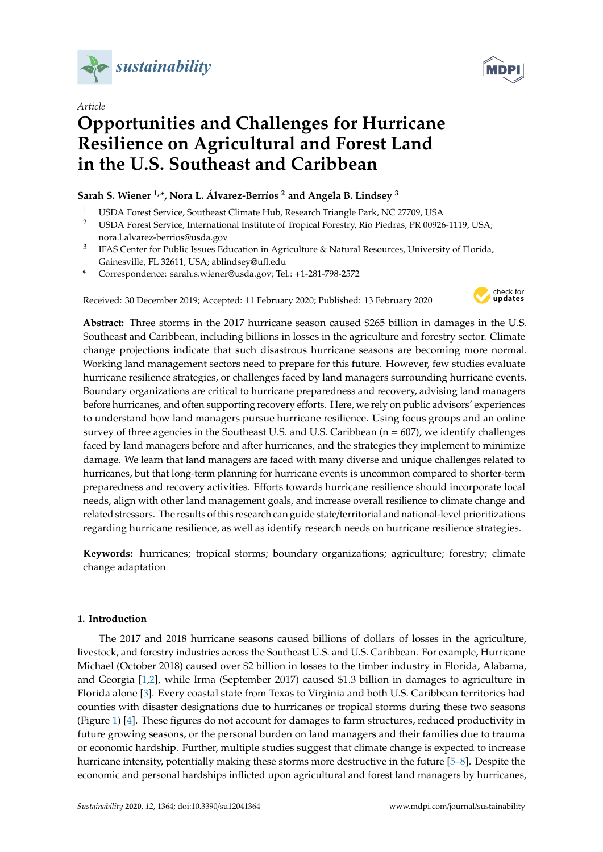

*Article*

# **Opportunities and Challenges for Hurricane Resilience on Agricultural and Forest Land in the U.S. Southeast and Caribbean**

# **Sarah S. Wiener 1,\*, Nora L. Álvarez-Berríos <sup>2</sup> and Angela B. Lindsey <sup>3</sup>**

- <sup>1</sup> USDA Forest Service, Southeast Climate Hub, Research Triangle Park, NC 27709, USA
- <sup>2</sup> USDA Forest Service, International Institute of Tropical Forestry, Río Piedras, PR 00926-1119, USA; nora.l.alvarez-berrios@usda.gov
- 3 IFAS Center for Public Issues Education in Agriculture & Natural Resources, University of Florida, Gainesville, FL 32611, USA; ablindsey@ufl.edu
- **\*** Correspondence: sarah.s.wiener@usda.gov; Tel.: +1-281-798-2572

Received: 30 December 2019; Accepted: 11 February 2020; Published: 13 February 2020



**Abstract:** Three storms in the 2017 hurricane season caused \$265 billion in damages in the U.S. Southeast and Caribbean, including billions in losses in the agriculture and forestry sector. Climate change projections indicate that such disastrous hurricane seasons are becoming more normal. Working land management sectors need to prepare for this future. However, few studies evaluate hurricane resilience strategies, or challenges faced by land managers surrounding hurricane events. Boundary organizations are critical to hurricane preparedness and recovery, advising land managers before hurricanes, and often supporting recovery efforts. Here, we rely on public advisors' experiences to understand how land managers pursue hurricane resilience. Using focus groups and an online survey of three agencies in the Southeast U.S. and U.S. Caribbean (n = 607), we identify challenges faced by land managers before and after hurricanes, and the strategies they implement to minimize damage. We learn that land managers are faced with many diverse and unique challenges related to hurricanes, but that long-term planning for hurricane events is uncommon compared to shorter-term preparedness and recovery activities. Efforts towards hurricane resilience should incorporate local needs, align with other land management goals, and increase overall resilience to climate change and related stressors. The results of this research can guide state/territorial and national-level prioritizations regarding hurricane resilience, as well as identify research needs on hurricane resilience strategies.

**Keywords:** hurricanes; tropical storms; boundary organizations; agriculture; forestry; climate change adaptation

## **1. Introduction**

The 2017 and 2018 hurricane seasons caused billions of dollars of losses in the agriculture, livestock, and forestry industries across the Southeast U.S. and U.S. Caribbean. For example, Hurricane Michael (October 2018) caused over \$2 billion in losses to the timber industry in Florida, Alabama, and Georgia [\[1,](#page-12-0)[2\]](#page-12-1), while Irma (September 2017) caused \$1.3 billion in damages to agriculture in Florida alone [\[3\]](#page-12-2). Every coastal state from Texas to Virginia and both U.S. Caribbean territories had counties with disaster designations due to hurricanes or tropical storms during these two seasons (Figure [1\)](#page-1-0) [\[4\]](#page-12-3). These figures do not account for damages to farm structures, reduced productivity in future growing seasons, or the personal burden on land managers and their families due to trauma or economic hardship. Further, multiple studies suggest that climate change is expected to increase hurricane intensity, potentially making these storms more destructive in the future [\[5–](#page-12-4)[8\]](#page-12-5). Despite the economic and personal hardships inflicted upon agricultural and forest land managers by hurricanes,

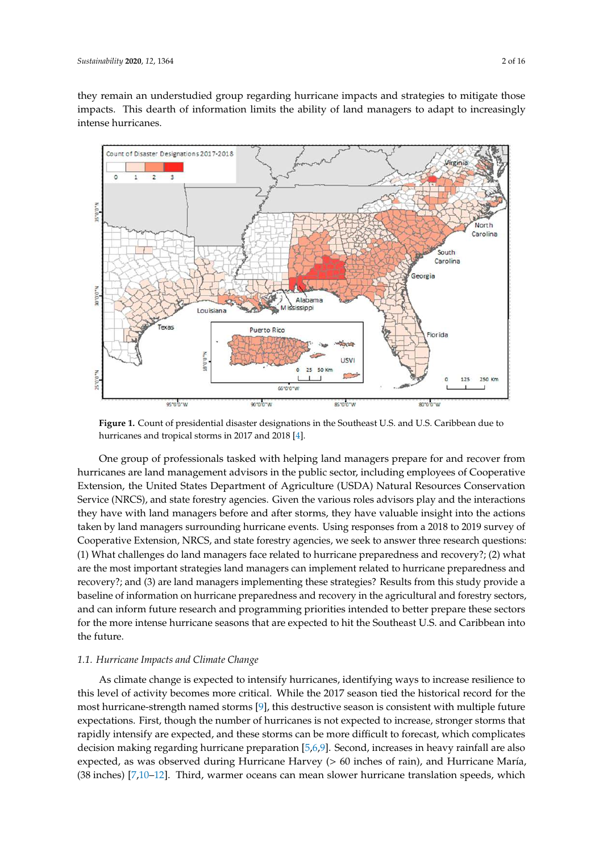they remain an understudied group regarding hurricane impacts and strategies to mitigate those impacts. This dearth of information limits the ability of land managers to adapt to increasingly intense hurricanes.

<span id="page-1-0"></span>

**Figure 1.** Count of presidential disaster designations in the Southeast U.S. and U.S. Caribbean due to hurricanes and tropical storms in 2017 and 2018 [\[4\]](#page-12-3).

One group of professionals tasked with helping land managers prepare for and recover from hurricanes are land management advisors in the public sector, including employees of Cooperative Extension, the United States Department of Agriculture (USDA) Natural Resources Conservation Service (NRCS), and state forestry agencies. Given the various roles advisors play and the interactions they have with land managers before and after storms, they have valuable insight into the actions taken by land managers surrounding hurricane events. Using responses from a 2018 to 2019 survey of Cooperative Extension, NRCS, and state forestry agencies, we seek to answer three research questions: (1) What challenges do land managers face related to hurricane preparedness and recovery?; (2) what are the most important strategies land managers can implement related to hurricane preparedness and recovery?; and (3) are land managers implementing these strategies? Results from this study provide a baseline of information on hurricane preparedness and recovery in the agricultural and forestry sectors, and can inform future research and programming priorities intended to better prepare these sectors for the more intense hurricane seasons that are expected to hit the Southeast U.S. and Caribbean into the future.

## *1.1. Hurricane Impacts and Climate Change*

As climate change is expected to intensify hurricanes, identifying ways to increase resilience to this level of activity becomes more critical. While the 2017 season tied the historical record for the most hurricane-strength named storms [\[9\]](#page-12-6), this destructive season is consistent with multiple future expectations. First, though the number of hurricanes is not expected to increase, stronger storms that rapidly intensify are expected, and these storms can be more difficult to forecast, which complicates decision making regarding hurricane preparation [\[5,](#page-12-4)[6,](#page-12-7)[9\]](#page-12-6). Second, increases in heavy rainfall are also expected, as was observed during Hurricane Harvey (> 60 inches of rain), and Hurricane María, (38 inches) [\[7,](#page-12-8)[10](#page-12-9)[–12\]](#page-12-10). Third, warmer oceans can mean slower hurricane translation speeds, which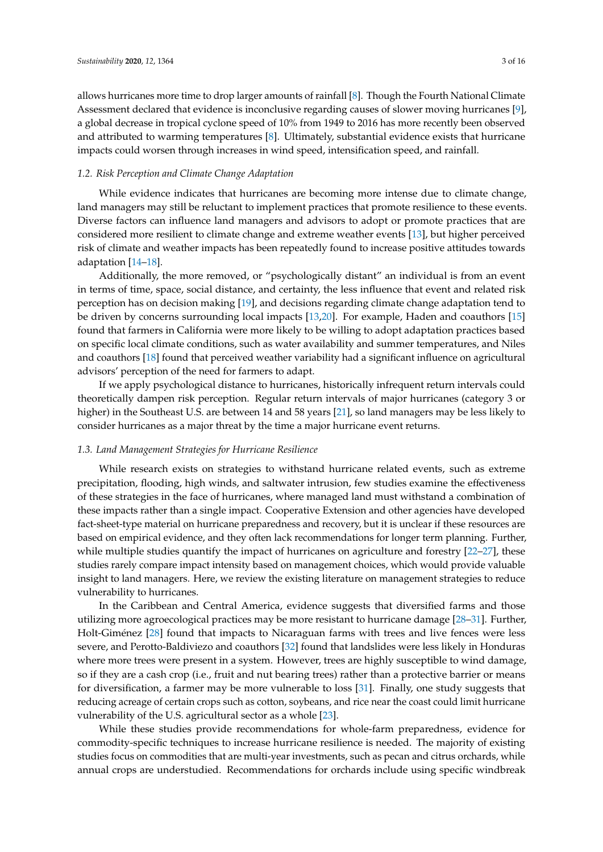allows hurricanes more time to drop larger amounts of rainfall [\[8\]](#page-12-5). Though the Fourth National Climate Assessment declared that evidence is inconclusive regarding causes of slower moving hurricanes [\[9\]](#page-12-6), a global decrease in tropical cyclone speed of 10% from 1949 to 2016 has more recently been observed and attributed to warming temperatures [\[8\]](#page-12-5). Ultimately, substantial evidence exists that hurricane impacts could worsen through increases in wind speed, intensification speed, and rainfall.

## *1.2. Risk Perception and Climate Change Adaptation*

While evidence indicates that hurricanes are becoming more intense due to climate change, land managers may still be reluctant to implement practices that promote resilience to these events. Diverse factors can influence land managers and advisors to adopt or promote practices that are considered more resilient to climate change and extreme weather events [\[13\]](#page-12-11), but higher perceived risk of climate and weather impacts has been repeatedly found to increase positive attitudes towards adaptation [\[14–](#page-12-12)[18\]](#page-13-0).

Additionally, the more removed, or "psychologically distant" an individual is from an event in terms of time, space, social distance, and certainty, the less influence that event and related risk perception has on decision making [\[19\]](#page-13-1), and decisions regarding climate change adaptation tend to be driven by concerns surrounding local impacts [\[13,](#page-12-11)[20\]](#page-13-2). For example, Haden and coauthors [\[15\]](#page-12-13) found that farmers in California were more likely to be willing to adopt adaptation practices based on specific local climate conditions, such as water availability and summer temperatures, and Niles and coauthors [\[18\]](#page-13-0) found that perceived weather variability had a significant influence on agricultural advisors' perception of the need for farmers to adapt.

If we apply psychological distance to hurricanes, historically infrequent return intervals could theoretically dampen risk perception. Regular return intervals of major hurricanes (category 3 or higher) in the Southeast U.S. are between 14 and 58 years [\[21\]](#page-13-3), so land managers may be less likely to consider hurricanes as a major threat by the time a major hurricane event returns.

#### *1.3. Land Management Strategies for Hurricane Resilience*

While research exists on strategies to withstand hurricane related events, such as extreme precipitation, flooding, high winds, and saltwater intrusion, few studies examine the effectiveness of these strategies in the face of hurricanes, where managed land must withstand a combination of these impacts rather than a single impact. Cooperative Extension and other agencies have developed fact-sheet-type material on hurricane preparedness and recovery, but it is unclear if these resources are based on empirical evidence, and they often lack recommendations for longer term planning. Further, while multiple studies quantify the impact of hurricanes on agriculture and forestry [\[22–](#page-13-4)[27\]](#page-13-5), these studies rarely compare impact intensity based on management choices, which would provide valuable insight to land managers. Here, we review the existing literature on management strategies to reduce vulnerability to hurricanes.

In the Caribbean and Central America, evidence suggests that diversified farms and those utilizing more agroecological practices may be more resistant to hurricane damage [\[28](#page-13-6)[–31\]](#page-13-7). Further, Holt-Giménez [\[28\]](#page-13-6) found that impacts to Nicaraguan farms with trees and live fences were less severe, and Perotto-Baldiviezo and coauthors [\[32\]](#page-13-8) found that landslides were less likely in Honduras where more trees were present in a system. However, trees are highly susceptible to wind damage, so if they are a cash crop (i.e., fruit and nut bearing trees) rather than a protective barrier or means for diversification, a farmer may be more vulnerable to loss [\[31\]](#page-13-7). Finally, one study suggests that reducing acreage of certain crops such as cotton, soybeans, and rice near the coast could limit hurricane vulnerability of the U.S. agricultural sector as a whole [\[23\]](#page-13-9).

While these studies provide recommendations for whole-farm preparedness, evidence for commodity-specific techniques to increase hurricane resilience is needed. The majority of existing studies focus on commodities that are multi-year investments, such as pecan and citrus orchards, while annual crops are understudied. Recommendations for orchards include using specific windbreak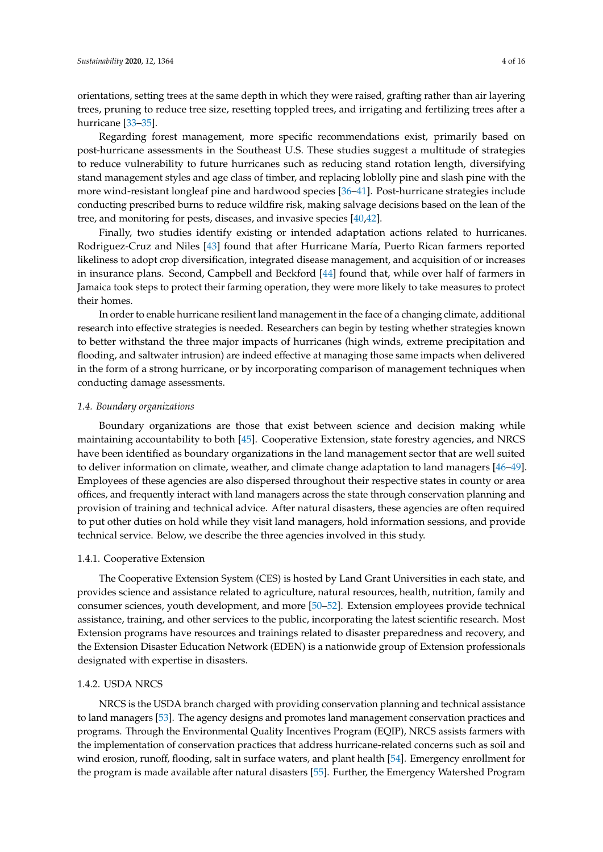orientations, setting trees at the same depth in which they were raised, grafting rather than air layering trees, pruning to reduce tree size, resetting toppled trees, and irrigating and fertilizing trees after a hurricane [\[33–](#page-13-10)[35\]](#page-13-11).

Regarding forest management, more specific recommendations exist, primarily based on post-hurricane assessments in the Southeast U.S. These studies suggest a multitude of strategies to reduce vulnerability to future hurricanes such as reducing stand rotation length, diversifying stand management styles and age class of timber, and replacing loblolly pine and slash pine with the more wind-resistant longleaf pine and hardwood species [\[36](#page-13-12)[–41\]](#page-14-0). Post-hurricane strategies include conducting prescribed burns to reduce wildfire risk, making salvage decisions based on the lean of the tree, and monitoring for pests, diseases, and invasive species [\[40,](#page-13-13)[42\]](#page-14-1).

Finally, two studies identify existing or intended adaptation actions related to hurricanes. Rodriguez-Cruz and Niles [\[43\]](#page-14-2) found that after Hurricane María, Puerto Rican farmers reported likeliness to adopt crop diversification, integrated disease management, and acquisition of or increases in insurance plans. Second, Campbell and Beckford [\[44\]](#page-14-3) found that, while over half of farmers in Jamaica took steps to protect their farming operation, they were more likely to take measures to protect their homes.

In order to enable hurricane resilient land management in the face of a changing climate, additional research into effective strategies is needed. Researchers can begin by testing whether strategies known to better withstand the three major impacts of hurricanes (high winds, extreme precipitation and flooding, and saltwater intrusion) are indeed effective at managing those same impacts when delivered in the form of a strong hurricane, or by incorporating comparison of management techniques when conducting damage assessments.

#### *1.4. Boundary organizations*

Boundary organizations are those that exist between science and decision making while maintaining accountability to both [\[45\]](#page-14-4). Cooperative Extension, state forestry agencies, and NRCS have been identified as boundary organizations in the land management sector that are well suited to deliver information on climate, weather, and climate change adaptation to land managers [\[46–](#page-14-5)[49\]](#page-14-6). Employees of these agencies are also dispersed throughout their respective states in county or area offices, and frequently interact with land managers across the state through conservation planning and provision of training and technical advice. After natural disasters, these agencies are often required to put other duties on hold while they visit land managers, hold information sessions, and provide technical service. Below, we describe the three agencies involved in this study.

### 1.4.1. Cooperative Extension

The Cooperative Extension System (CES) is hosted by Land Grant Universities in each state, and provides science and assistance related to agriculture, natural resources, health, nutrition, family and consumer sciences, youth development, and more [\[50](#page-14-7)[–52\]](#page-14-8). Extension employees provide technical assistance, training, and other services to the public, incorporating the latest scientific research. Most Extension programs have resources and trainings related to disaster preparedness and recovery, and the Extension Disaster Education Network (EDEN) is a nationwide group of Extension professionals designated with expertise in disasters.

### 1.4.2. USDA NRCS

NRCS is the USDA branch charged with providing conservation planning and technical assistance to land managers [\[53\]](#page-14-9). The agency designs and promotes land management conservation practices and programs. Through the Environmental Quality Incentives Program (EQIP), NRCS assists farmers with the implementation of conservation practices that address hurricane-related concerns such as soil and wind erosion, runoff, flooding, salt in surface waters, and plant health [\[54\]](#page-14-10). Emergency enrollment for the program is made available after natural disasters [\[55\]](#page-14-11). Further, the Emergency Watershed Program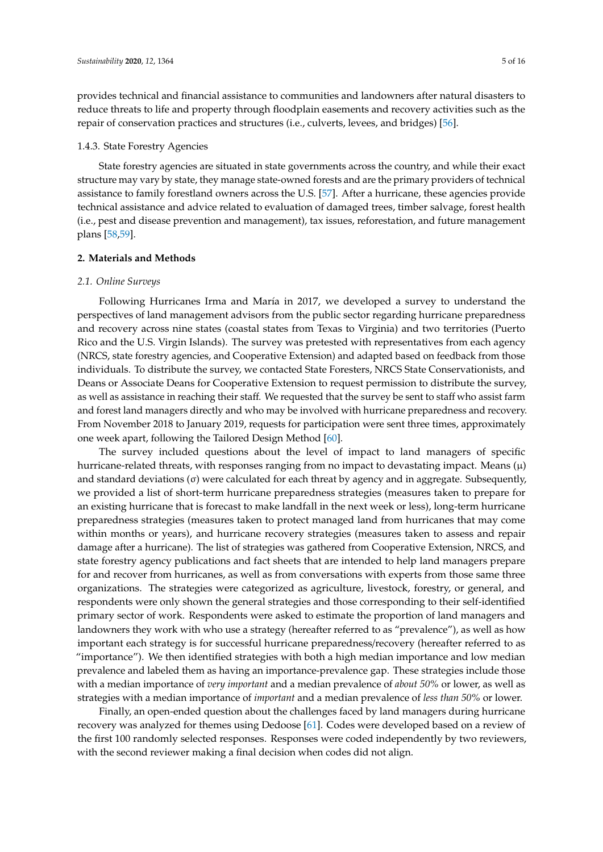provides technical and financial assistance to communities and landowners after natural disasters to reduce threats to life and property through floodplain easements and recovery activities such as the repair of conservation practices and structures (i.e., culverts, levees, and bridges) [\[56\]](#page-14-12).

#### 1.4.3. State Forestry Agencies

State forestry agencies are situated in state governments across the country, and while their exact structure may vary by state, they manage state-owned forests and are the primary providers of technical assistance to family forestland owners across the U.S. [\[57\]](#page-14-13). After a hurricane, these agencies provide technical assistance and advice related to evaluation of damaged trees, timber salvage, forest health (i.e., pest and disease prevention and management), tax issues, reforestation, and future management plans [\[58](#page-14-14)[,59\]](#page-14-15).

#### **2. Materials and Methods**

#### *2.1. Online Surveys*

Following Hurricanes Irma and María in 2017, we developed a survey to understand the perspectives of land management advisors from the public sector regarding hurricane preparedness and recovery across nine states (coastal states from Texas to Virginia) and two territories (Puerto Rico and the U.S. Virgin Islands). The survey was pretested with representatives from each agency (NRCS, state forestry agencies, and Cooperative Extension) and adapted based on feedback from those individuals. To distribute the survey, we contacted State Foresters, NRCS State Conservationists, and Deans or Associate Deans for Cooperative Extension to request permission to distribute the survey, as well as assistance in reaching their staff. We requested that the survey be sent to staff who assist farm and forest land managers directly and who may be involved with hurricane preparedness and recovery. From November 2018 to January 2019, requests for participation were sent three times, approximately one week apart, following the Tailored Design Method [\[60\]](#page-14-16).

The survey included questions about the level of impact to land managers of specific hurricane-related threats, with responses ranging from no impact to devastating impact. Means  $(\mu)$ and standard deviations  $(\sigma)$  were calculated for each threat by agency and in aggregate. Subsequently, we provided a list of short-term hurricane preparedness strategies (measures taken to prepare for an existing hurricane that is forecast to make landfall in the next week or less), long-term hurricane preparedness strategies (measures taken to protect managed land from hurricanes that may come within months or years), and hurricane recovery strategies (measures taken to assess and repair damage after a hurricane). The list of strategies was gathered from Cooperative Extension, NRCS, and state forestry agency publications and fact sheets that are intended to help land managers prepare for and recover from hurricanes, as well as from conversations with experts from those same three organizations. The strategies were categorized as agriculture, livestock, forestry, or general, and respondents were only shown the general strategies and those corresponding to their self-identified primary sector of work. Respondents were asked to estimate the proportion of land managers and landowners they work with who use a strategy (hereafter referred to as "prevalence"), as well as how important each strategy is for successful hurricane preparedness/recovery (hereafter referred to as "importance"). We then identified strategies with both a high median importance and low median prevalence and labeled them as having an importance-prevalence gap. These strategies include those with a median importance of *very important* and a median prevalence of *about 50%* or lower, as well as strategies with a median importance of *important* and a median prevalence of *less than 50%* or lower.

Finally, an open-ended question about the challenges faced by land managers during hurricane recovery was analyzed for themes using Dedoose [\[61\]](#page-14-17). Codes were developed based on a review of the first 100 randomly selected responses. Responses were coded independently by two reviewers, with the second reviewer making a final decision when codes did not align.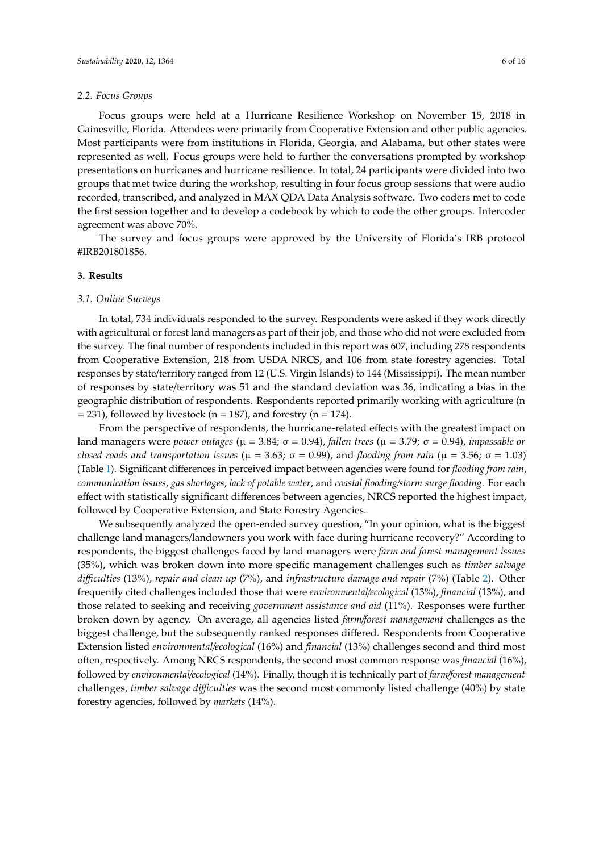#### *2.2. Focus Groups*

Focus groups were held at a Hurricane Resilience Workshop on November 15, 2018 in Gainesville, Florida. Attendees were primarily from Cooperative Extension and other public agencies. Most participants were from institutions in Florida, Georgia, and Alabama, but other states were represented as well. Focus groups were held to further the conversations prompted by workshop presentations on hurricanes and hurricane resilience. In total, 24 participants were divided into two groups that met twice during the workshop, resulting in four focus group sessions that were audio recorded, transcribed, and analyzed in MAX QDA Data Analysis software. Two coders met to code the first session together and to develop a codebook by which to code the other groups. Intercoder agreement was above 70%.

The survey and focus groups were approved by the University of Florida's IRB protocol #IRB201801856.

#### **3. Results**

#### *3.1. Online Surveys*

In total, 734 individuals responded to the survey. Respondents were asked if they work directly with agricultural or forest land managers as part of their job, and those who did not were excluded from the survey. The final number of respondents included in this report was 607, including 278 respondents from Cooperative Extension, 218 from USDA NRCS, and 106 from state forestry agencies. Total responses by state/territory ranged from 12 (U.S. Virgin Islands) to 144 (Mississippi). The mean number of responses by state/territory was 51 and the standard deviation was 36, indicating a bias in the geographic distribution of respondents. Respondents reported primarily working with agriculture (n  $=$  231), followed by livestock (n = 187), and forestry (n = 174).

From the perspective of respondents, the hurricane-related effects with the greatest impact on land managers were *power outages* (µ = 3.84; σ = 0.94), *fallen trees* (µ = 3.79; σ = 0.94), *impassable or closed roads and transportation issues* ( $\mu = 3.63$ ;  $\sigma = 0.99$ ), and *flooding from rain* ( $\mu = 3.56$ ;  $\sigma = 1.03$ ) (Table [1\)](#page-6-0). Significant differences in perceived impact between agencies were found for *flooding from rain*, *communication issues*, *gas shortages*, *lack of potable water*, and *coastal flooding*/*storm surge flooding*. For each effect with statistically significant differences between agencies, NRCS reported the highest impact, followed by Cooperative Extension, and State Forestry Agencies.

We subsequently analyzed the open-ended survey question, "In your opinion, what is the biggest challenge land managers/landowners you work with face during hurricane recovery?" According to respondents, the biggest challenges faced by land managers were *farm and forest management issues* (35%), which was broken down into more specific management challenges such as *timber salvage di*ffi*culties* (13%), *repair and clean up* (7%), and *infrastructure damage and repair* (7%) (Table [2\)](#page-6-1). Other frequently cited challenges included those that were *environmental*/*ecological* (13%), *financial* (13%), and those related to seeking and receiving *government assistance and aid* (11%). Responses were further broken down by agency. On average, all agencies listed *farm*/*forest management* challenges as the biggest challenge, but the subsequently ranked responses differed. Respondents from Cooperative Extension listed *environmental*/*ecological* (16%) and *financial* (13%) challenges second and third most often, respectively. Among NRCS respondents, the second most common response was *financial* (16%), followed by *environmental*/*ecological* (14%). Finally, though it is technically part of *farm*/*forest management* challenges, *timber salvage di*ffi*culties* was the second most commonly listed challenge (40%) by state forestry agencies, followed by *markets* (14%).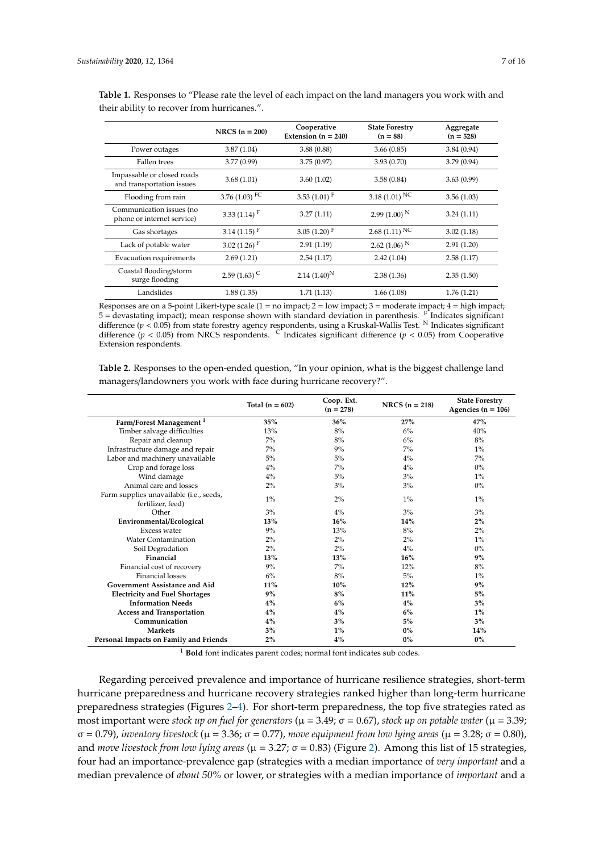|                                                         | NRCS $(n = 200)$           | Cooperative<br>Extension $(n = 240)$ | <b>State Forestry</b><br>$(n = 88)$ | Aggregate<br>$(n = 528)$ |
|---------------------------------------------------------|----------------------------|--------------------------------------|-------------------------------------|--------------------------|
| Power outages                                           | 3.87(1.04)                 | 3.88(0.88)                           | 3.66(0.85)                          | 3.84(0.94)               |
| Fallen trees                                            | 3.77(0.99)                 | 3.75(0.97)                           | 3.93(0.70)                          | 3.79(0.94)               |
| Impassable or closed roads<br>and transportation issues | 3.68(1.01)                 | 3.60(1.02)                           | 3.58(0.84)                          | 3.63(0.99)               |
| Flooding from rain                                      | 3.76 (1.03) $FC$           | 3.53 $(1.01)$ <sup>F</sup>           | 3.18 (1.01) NC                      | 3.56(1.03)               |
| Communication issues (no<br>phone or internet service)  | 3.33 $(1.14)$ <sup>F</sup> | 3.27(1.11)                           | 2.99 $(1.00)^N$                     | 3.24(1.11)               |
| Gas shortages                                           | 3.14 $(1.15)$ <sup>F</sup> | 3.05 $(1.20)$ <sup>F</sup>           | $2.68(1.11)$ NC                     | 3.02(1.18)               |
| Lack of potable water                                   | 3.02 $(1.26)$ <sup>F</sup> | 2.91(1.19)                           | 2.62 (1.06) <sup>N</sup>            | 2.91(1.20)               |
| Evacuation requirements                                 | 2.69(1.21)                 | 2.54(1.17)                           | 2.42(1.04)                          | 2.58(1.17)               |
| Coastal flooding/storm<br>surge flooding                | 2.59 $(1.63)$ <sup>C</sup> | $2.14(1.40)^N$                       | 2.38(1.36)                          | 2.35(1.50)               |
| Landslides                                              | 1.88(1.35)                 | 1.71(1.13)                           | 1.66(1.08)                          | 1.76(1.21)               |

<span id="page-6-0"></span>**Table 1.** Responses to "Please rate the level of each impact on the land managers you work with and their ability to recover from hurricanes.".

Responses are on a 5-point Likert-type scale  $(1 = no$  impact;  $2 = low$  impact;  $3 =$  moderate impact;  $4 = high$  impact; 5 = devastating impact); mean response shown with standard deviation in parenthesis. F Indicates significant difference (*p* < 0.05) from state forestry agency respondents, using a Kruskal-Wallis Test. <sup>N</sup> Indicates significant difference ( $p < 0.05$ ) from NRCS respondents. <sup>C</sup> Indicates significant difference ( $p < 0.05$ ) from Cooperative Extension respondents.

<span id="page-6-1"></span>**Table 2.** Responses to the open-ended question, "In your opinion, what is the biggest challenge land managers/landowners you work with face during hurricane recovery?".

|                                                              | Total $(n = 602)$ | Coop. Ext.<br>$(n = 278)$ | NRCS $(n = 218)$ | <b>State Forestry</b><br>Agencies ( $n = 106$ ) |
|--------------------------------------------------------------|-------------------|---------------------------|------------------|-------------------------------------------------|
| Farm/Forest Management <sup>1</sup>                          | 35%               | 36%                       | 27%              | 47%                                             |
| Timber salvage difficulties                                  | 13%               | 8%                        | 6%               | 40%                                             |
| Repair and cleanup                                           | 7%                | 8%                        | 6%               | 8%                                              |
| Infrastructure damage and repair                             | $7\%$             | 9%                        | $7\%$            | $1\%$                                           |
| Labor and machinery unavailable                              | 5%                | 5%                        | 4%               | 7%                                              |
| Crop and forage loss                                         | 4%                | $7\%$                     | 4%               | $0\%$                                           |
| Wind damage                                                  | 4%                | 5%                        | 3%               | $1\%$                                           |
| Animal care and losses                                       | 2%                | 3%                        | 3%               | $0\%$                                           |
| Farm supplies unavailable (i.e., seeds,<br>fertilizer, feed) | $1\%$             | $2\%$                     | $1\%$            | $1\%$                                           |
| Other                                                        | 3%                | $4\%$                     | 3%               | 3%                                              |
| Environmental/Ecological                                     | 13%               | 16%                       | 14%              | $2\%$                                           |
| Excess water                                                 | 9%                | 13%                       | 8%               | $2\%$                                           |
| <b>Water Contamination</b>                                   | 2%                | 2%                        | 2%               | $1\%$                                           |
| Soil Degradation                                             | 2%                | 2%                        | $4\%$            | $0\%$                                           |
| Financial                                                    | 13%               | 13%                       | 16%              | 9%                                              |
| Financial cost of recovery                                   | 9%                | $7\%$                     | 12%              | 8%                                              |
| <b>Financial losses</b>                                      | 6%                | 8%                        | 5%               | $1\%$                                           |
| <b>Government Assistance and Aid</b>                         | 11%               | 10%                       | 12%              | 9%                                              |
| <b>Electricity and Fuel Shortages</b>                        | 9%                | 8%                        | 11%              | 5%                                              |
| <b>Information Needs</b>                                     | 4%                | 6%                        | 4%               | 3%                                              |
| <b>Access and Transportation</b>                             | 4%                | 4%                        | 6%               | $1\%$                                           |
| Communication                                                | 4%                | 3%                        | 5%               | 3%                                              |
| <b>Markets</b>                                               | 3%                | $1\%$                     | $0\%$            | 14%                                             |
| Personal Impacts on Family and Friends                       | 2%                | 4%                        | $0\%$            | $0\%$                                           |

<sup>1</sup> **Bold** font indicates parent codes; normal font indicates sub codes.

Regarding perceived prevalence and importance of hurricane resilience strategies, short-term hurricane preparedness and hurricane recovery strategies ranked higher than long-term hurricane preparedness strategies (Figures [2](#page-7-0)[–4\)](#page-7-1). For short-term preparedness, the top five strategies rated as most important were *stock up on fuel for generators* ( $\mu$  = 3.49; σ = 0.67), *stock up on potable water* ( $\mu$  = 3.39; σ = 0.79), *inventory livestock* (µ = 3.36; σ = 0.77), *move equipment from low lying areas* (µ = 3.28; σ = 0.80), and *move livestock from low lying areas* (µ = 3.27; σ = 0.83) (Figure [2\)](#page-7-0). Among this list of 15 strategies, four had an importance-prevalence gap (strategies with a median importance of *very important* and a median prevalence of *about 50%* or lower, or strategies with a median importance of *important* and a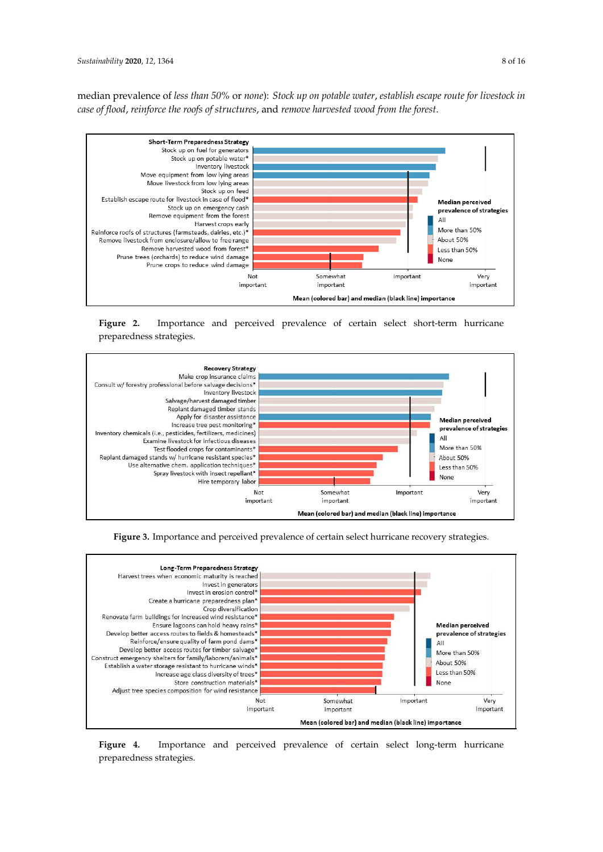median prevalence of *less than 50%* or *none*): *Stock up on potable water*, *establish escape route for livestock in case of flood*, *reinforce the roofs of structures*, and *remove harvested wood from the forest*.

<span id="page-7-0"></span>

**Figure 2.** Importance and perceived prevalence of certain select short-term hurricane preparedness strategies.

<span id="page-7-2"></span>

**Figure 3.** Importance and perceived prevalence of certain select hurricane recovery strategies.

<span id="page-7-1"></span>

**Figure 4.** Importance and perceived prevalence of certain select long-term hurricane preparedness strategies.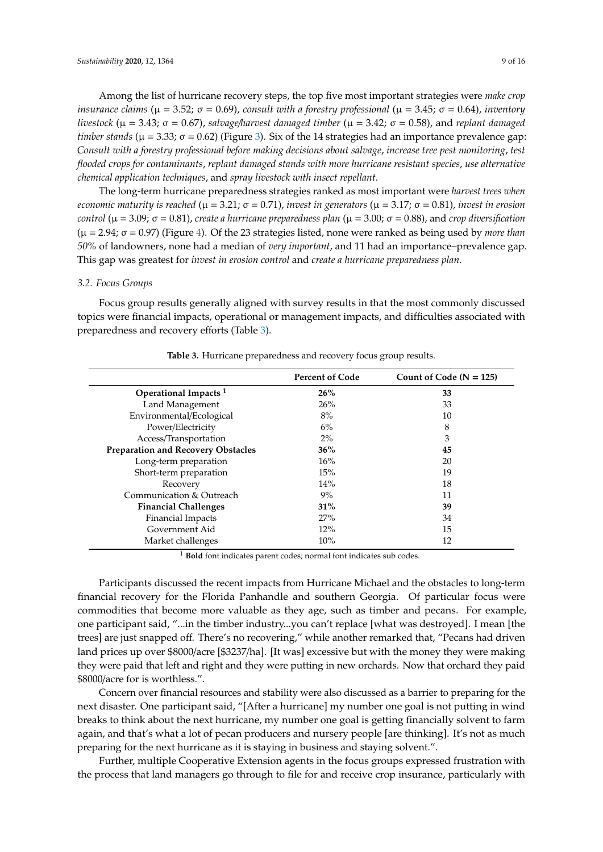Among the list of hurricane recovery steps, the top five most important strategies were *make crop insurance claims* ( $\mu = 3.52$ ;  $\sigma = 0.69$ ), *consult with a forestry professional* ( $\mu = 3.45$ ;  $\sigma = 0.64$ ), *inventory livestock* (µ = 3.43; σ = 0.67), *salvage*/*harvest damaged timber* (µ = 3.42; σ = 0.58), and *replant damaged timber stands* ( $\mu$  = 3.33;  $\sigma$  = 0.62) (Figure [3\)](#page-7-2). Six of the 14 strategies had an importance prevalence gap: *Consult with a forestry professional before making decisions about salvage*, *increase tree pest monitoring*, *test flooded crops for contaminants*, *replant damaged stands with more hurricane resistant species*, *use alternative chemical application techniques*, and *spray livestock with insect repellant*.

The long-term hurricane preparedness strategies ranked as most important were *harvest trees when economic maturity is reached* (µ = 3.21; σ = 0.71), *invest in generators* (µ = 3.17; σ = 0.81), *invest in erosion control* (µ = 3.09; σ = 0.81), *create a hurricane preparedness plan* (µ = 3.00; σ = 0.88), and *crop diversification* (µ = 2.94; σ = 0.97) (Figure [4\)](#page-7-1). Of the 23 strategies listed, none were ranked as being used by *more than 50%* of landowners, none had a median of *very important*, and 11 had an importance–prevalence gap. This gap was greatest for *invest in erosion control* and *create a hurricane preparedness plan*.

#### *3.2. Focus Groups*

Focus group results generally aligned with survey results in that the most commonly discussed topics were financial impacts, operational or management impacts, and difficulties associated with preparedness and recovery efforts (Table [3\)](#page-8-0).

<span id="page-8-0"></span>

|                                           | <b>Percent of Code</b> | Count of Code ( $N = 125$ ) |
|-------------------------------------------|------------------------|-----------------------------|
| Operational Impacts <sup>1</sup>          | 26%                    | 33                          |
| Land Management                           | 26%                    | 33                          |
| Environmental/Ecological                  | 8%                     | 10                          |
| Power/Electricity                         | $6\%$                  | 8                           |
| Access/Transportation                     | $2\%$                  | 3                           |
| <b>Preparation and Recovery Obstacles</b> | 36%                    | 45                          |
| Long-term preparation                     | 16%                    | 20                          |
| Short-term preparation                    | 15%                    | 19                          |
| Recovery                                  | 14%                    | 18                          |
| Communication & Outreach                  | 9%                     | 11                          |
| <b>Financial Challenges</b>               | 31%                    | 39                          |
| Financial Impacts                         | 27%                    | 34                          |
| Government Aid                            | 12%                    | 15                          |
| Market challenges                         | 10%                    | 12                          |

**Table 3.** Hurricane preparedness and recovery focus group results.

<sup>1</sup> Bold font indicates parent codes; normal font indicates sub codes.

Participants discussed the recent impacts from Hurricane Michael and the obstacles to long-term financial recovery for the Florida Panhandle and southern Georgia. Of particular focus were commodities that become more valuable as they age, such as timber and pecans. For example, one participant said, "...in the timber industry...you can't replace [what was destroyed]. I mean [the trees] are just snapped off. There's no recovering," while another remarked that, "Pecans had driven land prices up over \$8000/acre [\$3237/ha]. [It was] excessive but with the money they were making they were paid that left and right and they were putting in new orchards. Now that orchard they paid \$8000/acre for is worthless.".

Concern over financial resources and stability were also discussed as a barrier to preparing for the next disaster. One participant said, "[After a hurricane] my number one goal is not putting in wind breaks to think about the next hurricane, my number one goal is getting financially solvent to farm again, and that's what a lot of pecan producers and nursery people [are thinking]. It's not as much preparing for the next hurricane as it is staying in business and staying solvent.".

Further, multiple Cooperative Extension agents in the focus groups expressed frustration with the process that land managers go through to file for and receive crop insurance, particularly with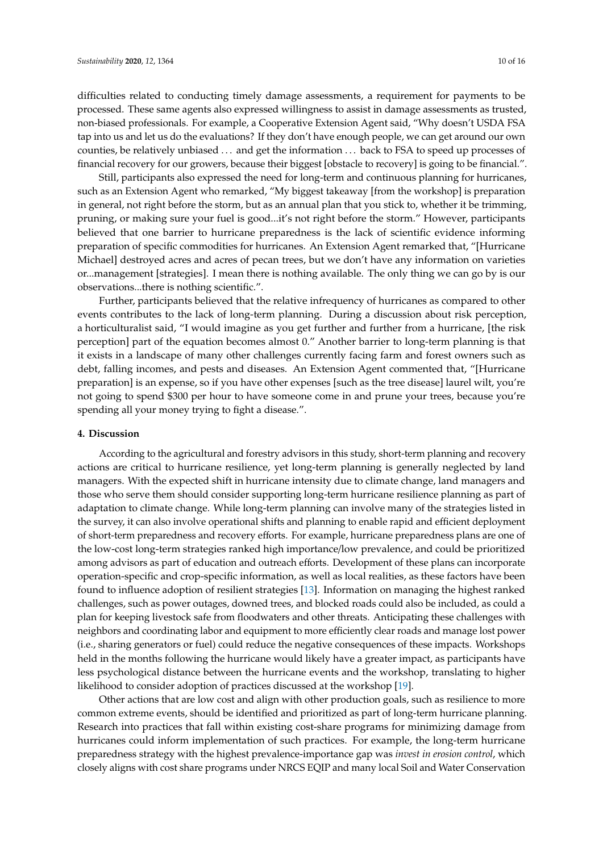difficulties related to conducting timely damage assessments, a requirement for payments to be processed. These same agents also expressed willingness to assist in damage assessments as trusted, non-biased professionals. For example, a Cooperative Extension Agent said, "Why doesn't USDA FSA tap into us and let us do the evaluations? If they don't have enough people, we can get around our own counties, be relatively unbiased . . . and get the information . . . back to FSA to speed up processes of financial recovery for our growers, because their biggest [obstacle to recovery] is going to be financial.".

Still, participants also expressed the need for long-term and continuous planning for hurricanes, such as an Extension Agent who remarked, "My biggest takeaway [from the workshop] is preparation in general, not right before the storm, but as an annual plan that you stick to, whether it be trimming, pruning, or making sure your fuel is good...it's not right before the storm." However, participants believed that one barrier to hurricane preparedness is the lack of scientific evidence informing preparation of specific commodities for hurricanes. An Extension Agent remarked that, "[Hurricane Michael] destroyed acres and acres of pecan trees, but we don't have any information on varieties or...management [strategies]. I mean there is nothing available. The only thing we can go by is our observations...there is nothing scientific.".

Further, participants believed that the relative infrequency of hurricanes as compared to other events contributes to the lack of long-term planning. During a discussion about risk perception, a horticulturalist said, "I would imagine as you get further and further from a hurricane, [the risk perception] part of the equation becomes almost 0." Another barrier to long-term planning is that it exists in a landscape of many other challenges currently facing farm and forest owners such as debt, falling incomes, and pests and diseases. An Extension Agent commented that, "[Hurricane preparation] is an expense, so if you have other expenses [such as the tree disease] laurel wilt, you're not going to spend \$300 per hour to have someone come in and prune your trees, because you're spending all your money trying to fight a disease.".

#### **4. Discussion**

According to the agricultural and forestry advisors in this study, short-term planning and recovery actions are critical to hurricane resilience, yet long-term planning is generally neglected by land managers. With the expected shift in hurricane intensity due to climate change, land managers and those who serve them should consider supporting long-term hurricane resilience planning as part of adaptation to climate change. While long-term planning can involve many of the strategies listed in the survey, it can also involve operational shifts and planning to enable rapid and efficient deployment of short-term preparedness and recovery efforts. For example, hurricane preparedness plans are one of the low-cost long-term strategies ranked high importance/low prevalence, and could be prioritized among advisors as part of education and outreach efforts. Development of these plans can incorporate operation-specific and crop-specific information, as well as local realities, as these factors have been found to influence adoption of resilient strategies [\[13\]](#page-12-11). Information on managing the highest ranked challenges, such as power outages, downed trees, and blocked roads could also be included, as could a plan for keeping livestock safe from floodwaters and other threats. Anticipating these challenges with neighbors and coordinating labor and equipment to more efficiently clear roads and manage lost power (i.e., sharing generators or fuel) could reduce the negative consequences of these impacts. Workshops held in the months following the hurricane would likely have a greater impact, as participants have less psychological distance between the hurricane events and the workshop, translating to higher likelihood to consider adoption of practices discussed at the workshop [\[19\]](#page-13-1).

Other actions that are low cost and align with other production goals, such as resilience to more common extreme events, should be identified and prioritized as part of long-term hurricane planning. Research into practices that fall within existing cost-share programs for minimizing damage from hurricanes could inform implementation of such practices. For example, the long-term hurricane preparedness strategy with the highest prevalence-importance gap was *invest in erosion control*, which closely aligns with cost share programs under NRCS EQIP and many local Soil and Water Conservation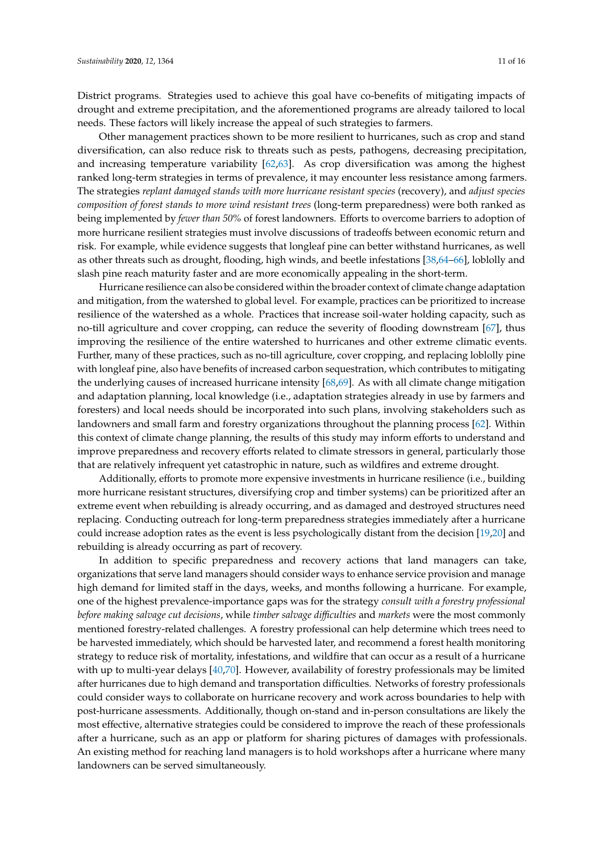District programs. Strategies used to achieve this goal have co-benefits of mitigating impacts of drought and extreme precipitation, and the aforementioned programs are already tailored to local needs. These factors will likely increase the appeal of such strategies to farmers.

Other management practices shown to be more resilient to hurricanes, such as crop and stand diversification, can also reduce risk to threats such as pests, pathogens, decreasing precipitation, and increasing temperature variability [\[62,](#page-14-18)[63\]](#page-14-19). As crop diversification was among the highest ranked long-term strategies in terms of prevalence, it may encounter less resistance among farmers. The strategies *replant damaged stands with more hurricane resistant species* (recovery), and *adjust species composition of forest stands to more wind resistant trees* (long-term preparedness) were both ranked as being implemented by *fewer than 50%* of forest landowners. Efforts to overcome barriers to adoption of more hurricane resilient strategies must involve discussions of tradeoffs between economic return and risk. For example, while evidence suggests that longleaf pine can better withstand hurricanes, as well as other threats such as drought, flooding, high winds, and beetle infestations [\[38,](#page-13-14)[64](#page-15-0)[–66\]](#page-15-1), loblolly and slash pine reach maturity faster and are more economically appealing in the short-term.

Hurricane resilience can also be considered within the broader context of climate change adaptation and mitigation, from the watershed to global level. For example, practices can be prioritized to increase resilience of the watershed as a whole. Practices that increase soil-water holding capacity, such as no-till agriculture and cover cropping, can reduce the severity of flooding downstream [\[67\]](#page-15-2), thus improving the resilience of the entire watershed to hurricanes and other extreme climatic events. Further, many of these practices, such as no-till agriculture, cover cropping, and replacing loblolly pine with longleaf pine, also have benefits of increased carbon sequestration, which contributes to mitigating the underlying causes of increased hurricane intensity [\[68,](#page-15-3)[69\]](#page-15-4). As with all climate change mitigation and adaptation planning, local knowledge (i.e., adaptation strategies already in use by farmers and foresters) and local needs should be incorporated into such plans, involving stakeholders such as landowners and small farm and forestry organizations throughout the planning process [\[62\]](#page-14-18). Within this context of climate change planning, the results of this study may inform efforts to understand and improve preparedness and recovery efforts related to climate stressors in general, particularly those that are relatively infrequent yet catastrophic in nature, such as wildfires and extreme drought.

Additionally, efforts to promote more expensive investments in hurricane resilience (i.e., building more hurricane resistant structures, diversifying crop and timber systems) can be prioritized after an extreme event when rebuilding is already occurring, and as damaged and destroyed structures need replacing. Conducting outreach for long-term preparedness strategies immediately after a hurricane could increase adoption rates as the event is less psychologically distant from the decision [\[19](#page-13-1)[,20\]](#page-13-2) and rebuilding is already occurring as part of recovery.

In addition to specific preparedness and recovery actions that land managers can take, organizations that serve land managers should consider ways to enhance service provision and manage high demand for limited staff in the days, weeks, and months following a hurricane. For example, one of the highest prevalence-importance gaps was for the strategy *consult with a forestry professional before making salvage cut decisions*, while *timber salvage di*ffi*culties* and *markets* were the most commonly mentioned forestry-related challenges. A forestry professional can help determine which trees need to be harvested immediately, which should be harvested later, and recommend a forest health monitoring strategy to reduce risk of mortality, infestations, and wildfire that can occur as a result of a hurricane with up to multi-year delays [\[40,](#page-13-13)[70\]](#page-15-5). However, availability of forestry professionals may be limited after hurricanes due to high demand and transportation difficulties. Networks of forestry professionals could consider ways to collaborate on hurricane recovery and work across boundaries to help with post-hurricane assessments. Additionally, though on-stand and in-person consultations are likely the most effective, alternative strategies could be considered to improve the reach of these professionals after a hurricane, such as an app or platform for sharing pictures of damages with professionals. An existing method for reaching land managers is to hold workshops after a hurricane where many landowners can be served simultaneously.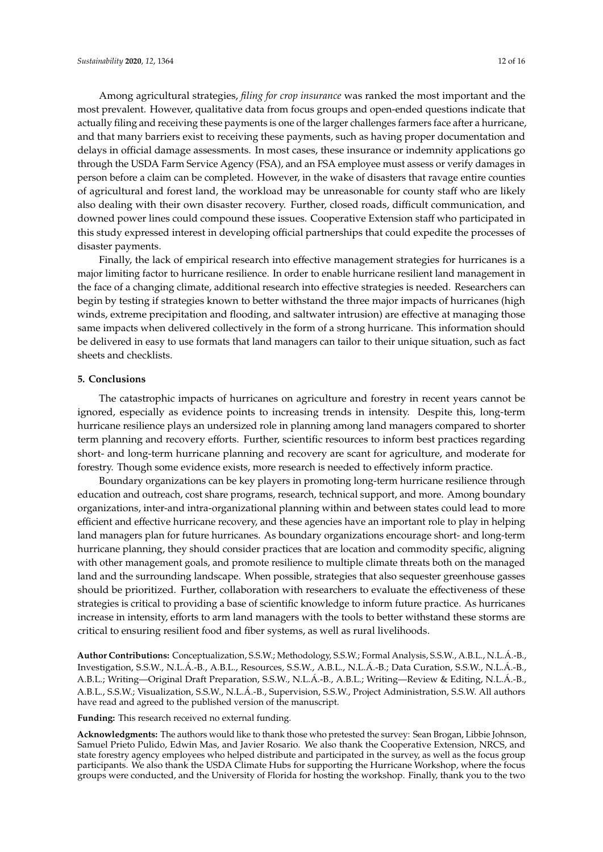Among agricultural strategies, *filing for crop insurance* was ranked the most important and the most prevalent. However, qualitative data from focus groups and open-ended questions indicate that actually filing and receiving these payments is one of the larger challenges farmers face after a hurricane, and that many barriers exist to receiving these payments, such as having proper documentation and delays in official damage assessments. In most cases, these insurance or indemnity applications go through the USDA Farm Service Agency (FSA), and an FSA employee must assess or verify damages in person before a claim can be completed. However, in the wake of disasters that ravage entire counties of agricultural and forest land, the workload may be unreasonable for county staff who are likely also dealing with their own disaster recovery. Further, closed roads, difficult communication, and downed power lines could compound these issues. Cooperative Extension staff who participated in this study expressed interest in developing official partnerships that could expedite the processes of disaster payments.

Finally, the lack of empirical research into effective management strategies for hurricanes is a major limiting factor to hurricane resilience. In order to enable hurricane resilient land management in the face of a changing climate, additional research into effective strategies is needed. Researchers can begin by testing if strategies known to better withstand the three major impacts of hurricanes (high winds, extreme precipitation and flooding, and saltwater intrusion) are effective at managing those same impacts when delivered collectively in the form of a strong hurricane. This information should be delivered in easy to use formats that land managers can tailor to their unique situation, such as fact sheets and checklists.

# **5. Conclusions**

The catastrophic impacts of hurricanes on agriculture and forestry in recent years cannot be ignored, especially as evidence points to increasing trends in intensity. Despite this, long-term hurricane resilience plays an undersized role in planning among land managers compared to shorter term planning and recovery efforts. Further, scientific resources to inform best practices regarding short- and long-term hurricane planning and recovery are scant for agriculture, and moderate for forestry. Though some evidence exists, more research is needed to effectively inform practice.

Boundary organizations can be key players in promoting long-term hurricane resilience through education and outreach, cost share programs, research, technical support, and more. Among boundary organizations, inter-and intra-organizational planning within and between states could lead to more efficient and effective hurricane recovery, and these agencies have an important role to play in helping land managers plan for future hurricanes. As boundary organizations encourage short- and long-term hurricane planning, they should consider practices that are location and commodity specific, aligning with other management goals, and promote resilience to multiple climate threats both on the managed land and the surrounding landscape. When possible, strategies that also sequester greenhouse gasses should be prioritized. Further, collaboration with researchers to evaluate the effectiveness of these strategies is critical to providing a base of scientific knowledge to inform future practice. As hurricanes increase in intensity, efforts to arm land managers with the tools to better withstand these storms are critical to ensuring resilient food and fiber systems, as well as rural livelihoods.

**Author Contributions:** Conceptualization, S.S.W.; Methodology, S.S.W.; Formal Analysis, S.S.W., A.B.L., N.L.Á.-B., Investigation, S.S.W., N.L.Á.-B., A.B.L., Resources, S.S.W., A.B.L., N.L.Á.-B.; Data Curation, S.S.W., N.L.Á.-B., A.B.L.; Writing—Original Draft Preparation, S.S.W., N.L.Á.-B., A.B.L.; Writing—Review & Editing, N.L.Á.-B., A.B.L., S.S.W.; Visualization, S.S.W., N.L.Á.-B., Supervision, S.S.W., Project Administration, S.S.W. All authors have read and agreed to the published version of the manuscript.

**Funding:** This research received no external funding.

**Acknowledgments:** The authors would like to thank those who pretested the survey: Sean Brogan, Libbie Johnson, Samuel Prieto Pulido, Edwin Mas, and Javier Rosario. We also thank the Cooperative Extension, NRCS, and state forestry agency employees who helped distribute and participated in the survey, as well as the focus group participants. We also thank the USDA Climate Hubs for supporting the Hurricane Workshop, where the focus groups were conducted, and the University of Florida for hosting the workshop. Finally, thank you to the two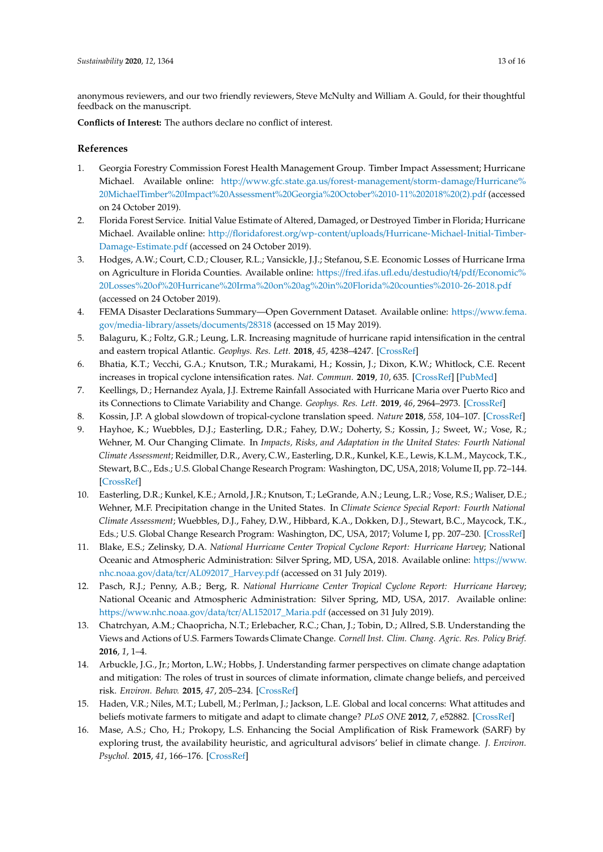anonymous reviewers, and our two friendly reviewers, Steve McNulty and William A. Gould, for their thoughtful feedback on the manuscript.

**Conflicts of Interest:** The authors declare no conflict of interest.

# **References**

- <span id="page-12-0"></span>1. Georgia Forestry Commission Forest Health Management Group. Timber Impact Assessment; Hurricane Michael. Available online: http://[www.gfc.state.ga.us](http://www.gfc.state.ga.us/forest-management/storm-damage/Hurricane%20MichaelTimber%20Impact%20Assessment%20Georgia%20October%2010-11%202018%20(2).pdf)/forest-management/storm-damage/Hurricane% [20MichaelTimber%20Impact%20Assessment%20Georgia%20October%2010-11%202018%20\(2\).pdf](http://www.gfc.state.ga.us/forest-management/storm-damage/Hurricane%20MichaelTimber%20Impact%20Assessment%20Georgia%20October%2010-11%202018%20(2).pdf) (accessed on 24 October 2019).
- <span id="page-12-1"></span>2. Florida Forest Service. Initial Value Estimate of Altered, Damaged, or Destroyed Timber in Florida; Hurricane Michael. Available online: http://floridaforest.org/wp-content/uploads/[Hurricane-Michael-Initial-Timber-](http://floridaforest.org/wp-content/uploads/Hurricane-Michael-Initial-Timber-Damage-Estimate.pdf)[Damage-Estimate.pdf](http://floridaforest.org/wp-content/uploads/Hurricane-Michael-Initial-Timber-Damage-Estimate.pdf) (accessed on 24 October 2019).
- <span id="page-12-2"></span>3. Hodges, A.W.; Court, C.D.; Clouser, R.L.; Vansickle, J.J.; Stefanou, S.E. Economic Losses of Hurricane Irma on Agriculture in Florida Counties. Available online: https://[fred.ifas.ufl.edu](https://fred.ifas.ufl.edu/destudio/t4/pdf/Economic%20Losses%20of%20Hurricane%20Irma%20on%20ag%20in%20Florida%20counties%2010-26-2018.pdf)/destudio/t4/pdf/Economic% [20Losses%20of%20Hurricane%20Irma%20on%20ag%20in%20Florida%20counties%2010-26-2018.pdf](https://fred.ifas.ufl.edu/destudio/t4/pdf/Economic%20Losses%20of%20Hurricane%20Irma%20on%20ag%20in%20Florida%20counties%2010-26-2018.pdf) (accessed on 24 October 2019).
- <span id="page-12-3"></span>4. FEMA Disaster Declarations Summary—Open Government Dataset. Available online: https://[www.fema.](https://www.fema.gov/media-library/assets/documents/28318) gov/[media-library](https://www.fema.gov/media-library/assets/documents/28318)/assets/documents/28318 (accessed on 15 May 2019).
- <span id="page-12-4"></span>5. Balaguru, K.; Foltz, G.R.; Leung, L.R. Increasing magnitude of hurricane rapid intensification in the central and eastern tropical Atlantic. *Geophys. Res. Lett.* **2018**, *45*, 4238–4247. [\[CrossRef\]](http://dx.doi.org/10.1029/2018GL077597)
- <span id="page-12-7"></span>6. Bhatia, K.T.; Vecchi, G.A.; Knutson, T.R.; Murakami, H.; Kossin, J.; Dixon, K.W.; Whitlock, C.E. Recent increases in tropical cyclone intensification rates. *Nat. Commun.* **2019**, *10*, 635. [\[CrossRef\]](http://dx.doi.org/10.1038/s41467-019-08471-z) [\[PubMed\]](http://www.ncbi.nlm.nih.gov/pubmed/30733439)
- <span id="page-12-8"></span>7. Keellings, D.; Hernandez Ayala, J.J. Extreme Rainfall Associated with Hurricane Maria over Puerto Rico and its Connections to Climate Variability and Change. *Geophys. Res. Lett.* **2019**, *46*, 2964–2973. [\[CrossRef\]](http://dx.doi.org/10.1029/2019GL082077)
- <span id="page-12-5"></span>8. Kossin, J.P. A global slowdown of tropical-cyclone translation speed. *Nature* **2018**, *558*, 104–107. [\[CrossRef\]](http://dx.doi.org/10.1038/s41586-018-0158-3)
- <span id="page-12-6"></span>9. Hayhoe, K.; Wuebbles, D.J.; Easterling, D.R.; Fahey, D.W.; Doherty, S.; Kossin, J.; Sweet, W.; Vose, R.; Wehner, M. Our Changing Climate. In *Impacts, Risks, and Adaptation in the United States: Fourth National Climate Assessment*; Reidmiller, D.R., Avery, C.W., Easterling, D.R., Kunkel, K.E., Lewis, K.L.M., Maycock, T.K., Stewart, B.C., Eds.; U.S. Global Change Research Program: Washington, DC, USA, 2018; Volume II, pp. 72–144. [\[CrossRef\]](http://dx.doi.org/10.7930/NCA4.2018.CH2)
- <span id="page-12-9"></span>10. Easterling, D.R.; Kunkel, K.E.; Arnold, J.R.; Knutson, T.; LeGrande, A.N.; Leung, L.R.; Vose, R.S.; Waliser, D.E.; Wehner, M.F. Precipitation change in the United States. In *Climate Science Special Report: Fourth National Climate Assessment*; Wuebbles, D.J., Fahey, D.W., Hibbard, K.A., Dokken, D.J., Stewart, B.C., Maycock, T.K., Eds.; U.S. Global Change Research Program: Washington, DC, USA, 2017; Volume I, pp. 207–230. [\[CrossRef\]](http://dx.doi.org/10.7930/J0H993CC)
- 11. Blake, E.S.; Zelinsky, D.A. *National Hurricane Center Tropical Cyclone Report: Hurricane Harvey*; National Oceanic and Atmospheric Administration: Silver Spring, MD, USA, 2018. Available online: https://[www.](https://www.nhc.noaa.gov/data/tcr/AL092017_Harvey.pdf) nhc.noaa.gov/data/tcr/[AL092017\\_Harvey.pdf](https://www.nhc.noaa.gov/data/tcr/AL092017_Harvey.pdf) (accessed on 31 July 2019).
- <span id="page-12-10"></span>12. Pasch, R.J.; Penny, A.B.; Berg, R. *National Hurricane Center Tropical Cyclone Report: Hurricane Harvey*; National Oceanic and Atmospheric Administration: Silver Spring, MD, USA, 2017. Available online: https://www.nhc.noaa.gov/data/tcr/[AL152017\\_Maria.pdf](https://www.nhc.noaa.gov/data/tcr/AL152017_Maria.pdf) (accessed on 31 July 2019).
- <span id="page-12-11"></span>13. Chatrchyan, A.M.; Chaopricha, N.T.; Erlebacher, R.C.; Chan, J.; Tobin, D.; Allred, S.B. Understanding the Views and Actions of U.S. Farmers Towards Climate Change. *Cornell Inst. Clim. Chang. Agric. Res. Policy Brief.* **2016**, *1*, 1–4.
- <span id="page-12-12"></span>14. Arbuckle, J.G., Jr.; Morton, L.W.; Hobbs, J. Understanding farmer perspectives on climate change adaptation and mitigation: The roles of trust in sources of climate information, climate change beliefs, and perceived risk. *Environ. Behav.* **2015**, *47*, 205–234. [\[CrossRef\]](http://dx.doi.org/10.1177/0013916513503832)
- <span id="page-12-13"></span>15. Haden, V.R.; Niles, M.T.; Lubell, M.; Perlman, J.; Jackson, L.E. Global and local concerns: What attitudes and beliefs motivate farmers to mitigate and adapt to climate change? *PLoS ONE* **2012**, *7*, e52882. [\[CrossRef\]](http://dx.doi.org/10.1371/journal.pone.0052882)
- 16. Mase, A.S.; Cho, H.; Prokopy, L.S. Enhancing the Social Amplification of Risk Framework (SARF) by exploring trust, the availability heuristic, and agricultural advisors' belief in climate change. *J. Environ. Psychol.* **2015**, *41*, 166–176. [\[CrossRef\]](http://dx.doi.org/10.1016/j.jenvp.2014.12.004)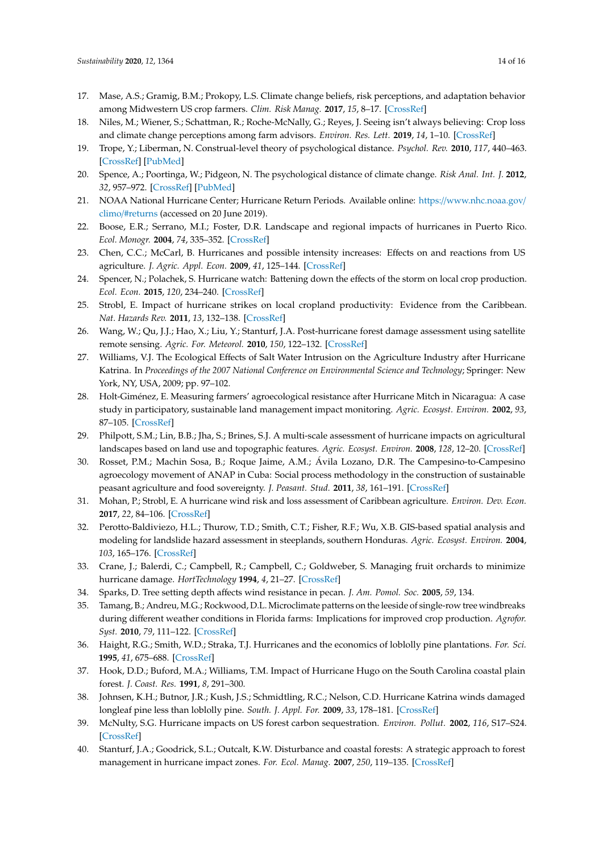- 17. Mase, A.S.; Gramig, B.M.; Prokopy, L.S. Climate change beliefs, risk perceptions, and adaptation behavior among Midwestern US crop farmers. *Clim. Risk Manag.* **2017**, *15*, 8–17. [\[CrossRef\]](http://dx.doi.org/10.1016/j.crm.2016.11.004)
- <span id="page-13-0"></span>18. Niles, M.; Wiener, S.; Schattman, R.; Roche-McNally, G.; Reyes, J. Seeing isn't always believing: Crop loss and climate change perceptions among farm advisors. *Environ. Res. Lett.* **2019**, *14*, 1–10. [\[CrossRef\]](http://dx.doi.org/10.1088/1748-9326/aafbb6)
- <span id="page-13-1"></span>19. Trope, Y.; Liberman, N. Construal-level theory of psychological distance. *Psychol. Rev.* **2010**, *117*, 440–463. [\[CrossRef\]](http://dx.doi.org/10.1037/a0018963) [\[PubMed\]](http://www.ncbi.nlm.nih.gov/pubmed/20438233)
- <span id="page-13-2"></span>20. Spence, A.; Poortinga, W.; Pidgeon, N. The psychological distance of climate change. *Risk Anal. Int. J.* **2012**, *32*, 957–972. [\[CrossRef\]](http://dx.doi.org/10.1111/j.1539-6924.2011.01695.x) [\[PubMed\]](http://www.ncbi.nlm.nih.gov/pubmed/21992607)
- <span id="page-13-3"></span>21. NOAA National Hurricane Center; Hurricane Return Periods. Available online: https://[www.nhc.noaa.gov](https://www.nhc.noaa.gov/climo/#returns)/ climo/[#returns](https://www.nhc.noaa.gov/climo/#returns) (accessed on 20 June 2019).
- <span id="page-13-4"></span>22. Boose, E.R.; Serrano, M.I.; Foster, D.R. Landscape and regional impacts of hurricanes in Puerto Rico. *Ecol. Monogr.* **2004**, *74*, 335–352. [\[CrossRef\]](http://dx.doi.org/10.1890/02-4057)
- <span id="page-13-9"></span>23. Chen, C.C.; McCarl, B. Hurricanes and possible intensity increases: Effects on and reactions from US agriculture. *J. Agric. Appl. Econ.* **2009**, *41*, 125–144. [\[CrossRef\]](http://dx.doi.org/10.1017/S1074070800002595)
- 24. Spencer, N.; Polachek, S. Hurricane watch: Battening down the effects of the storm on local crop production. *Ecol. Econ.* **2015**, *120*, 234–240. [\[CrossRef\]](http://dx.doi.org/10.1016/j.ecolecon.2015.10.006)
- 25. Strobl, E. Impact of hurricane strikes on local cropland productivity: Evidence from the Caribbean. *Nat. Hazards Rev.* **2011**, *13*, 132–138. [\[CrossRef\]](http://dx.doi.org/10.1061/(ASCE)NH.1527-6996.0000041)
- 26. Wang, W.; Qu, J.J.; Hao, X.; Liu, Y.; Stanturf, J.A. Post-hurricane forest damage assessment using satellite remote sensing. *Agric. For. Meteorol.* **2010**, *150*, 122–132. [\[CrossRef\]](http://dx.doi.org/10.1016/j.agrformet.2009.09.009)
- <span id="page-13-5"></span>27. Williams, V.J. The Ecological Effects of Salt Water Intrusion on the Agriculture Industry after Hurricane Katrina. In *Proceedings of the 2007 National Conference on Environmental Science and Technology*; Springer: New York, NY, USA, 2009; pp. 97–102.
- <span id="page-13-6"></span>28. Holt-Giménez, E. Measuring farmers' agroecological resistance after Hurricane Mitch in Nicaragua: A case study in participatory, sustainable land management impact monitoring. *Agric. Ecosyst. Environ.* **2002**, *93*, 87–105. [\[CrossRef\]](http://dx.doi.org/10.1016/S0167-8809(02)00006-3)
- 29. Philpott, S.M.; Lin, B.B.; Jha, S.; Brines, S.J. A multi-scale assessment of hurricane impacts on agricultural landscapes based on land use and topographic features. *Agric. Ecosyst. Environ.* **2008**, *128*, 12–20. [\[CrossRef\]](http://dx.doi.org/10.1016/j.agee.2008.04.016)
- 30. Rosset, P.M.; Machin Sosa, B.; Roque Jaime, A.M.; Ávila Lozano, D.R. The Campesino-to-Campesino agroecology movement of ANAP in Cuba: Social process methodology in the construction of sustainable peasant agriculture and food sovereignty. *J. Peasant. Stud.* **2011**, *38*, 161–191. [\[CrossRef\]](http://dx.doi.org/10.1080/03066150.2010.538584)
- <span id="page-13-7"></span>31. Mohan, P.; Strobl, E. A hurricane wind risk and loss assessment of Caribbean agriculture. *Environ. Dev. Econ.* **2017**, *22*, 84–106. [\[CrossRef\]](http://dx.doi.org/10.1017/S1355770X16000176)
- <span id="page-13-8"></span>32. Perotto-Baldiviezo, H.L.; Thurow, T.D.; Smith, C.T.; Fisher, R.F.; Wu, X.B. GIS-based spatial analysis and modeling for landslide hazard assessment in steeplands, southern Honduras. *Agric. Ecosyst. Environ.* **2004**, *103*, 165–176. [\[CrossRef\]](http://dx.doi.org/10.1016/j.agee.2003.10.011)
- <span id="page-13-10"></span>33. Crane, J.; Balerdi, C.; Campbell, R.; Campbell, C.; Goldweber, S. Managing fruit orchards to minimize hurricane damage. *HortTechnology* **1994**, *4*, 21–27. [\[CrossRef\]](http://dx.doi.org/10.21273/HORTTECH.4.1.21)
- 34. Sparks, D. Tree setting depth affects wind resistance in pecan. *J. Am. Pomol. Soc.* **2005**, *59*, 134.
- <span id="page-13-11"></span>35. Tamang, B.; Andreu, M.G.; Rockwood, D.L. Microclimate patterns on the leeside of single-row tree windbreaks during different weather conditions in Florida farms: Implications for improved crop production. *Agrofor. Syst.* **2010**, *79*, 111–122. [\[CrossRef\]](http://dx.doi.org/10.1007/s10457-010-9280-4)
- <span id="page-13-12"></span>36. Haight, R.G.; Smith, W.D.; Straka, T.J. Hurricanes and the economics of loblolly pine plantations. *For. Sci.* **1995**, *41*, 675–688. [\[CrossRef\]](http://dx.doi.org/10.1093/forestscience/41.4.675)
- 37. Hook, D.D.; Buford, M.A.; Williams, T.M. Impact of Hurricane Hugo on the South Carolina coastal plain forest. *J. Coast. Res.* **1991**, *8*, 291–300.
- <span id="page-13-14"></span>38. Johnsen, K.H.; Butnor, J.R.; Kush, J.S.; Schmidtling, R.C.; Nelson, C.D. Hurricane Katrina winds damaged longleaf pine less than loblolly pine. *South. J. Appl. For.* **2009**, *33*, 178–181. [\[CrossRef\]](http://dx.doi.org/10.1093/sjaf/33.4.178)
- 39. McNulty, S.G. Hurricane impacts on US forest carbon sequestration. *Environ. Pollut.* **2002**, *116*, S17–S24. [\[CrossRef\]](http://dx.doi.org/10.1016/S0269-7491(01)00242-1)
- <span id="page-13-13"></span>40. Stanturf, J.A.; Goodrick, S.L.; Outcalt, K.W. Disturbance and coastal forests: A strategic approach to forest management in hurricane impact zones. *For. Ecol. Manag.* **2007**, *250*, 119–135. [\[CrossRef\]](http://dx.doi.org/10.1016/j.foreco.2007.03.015)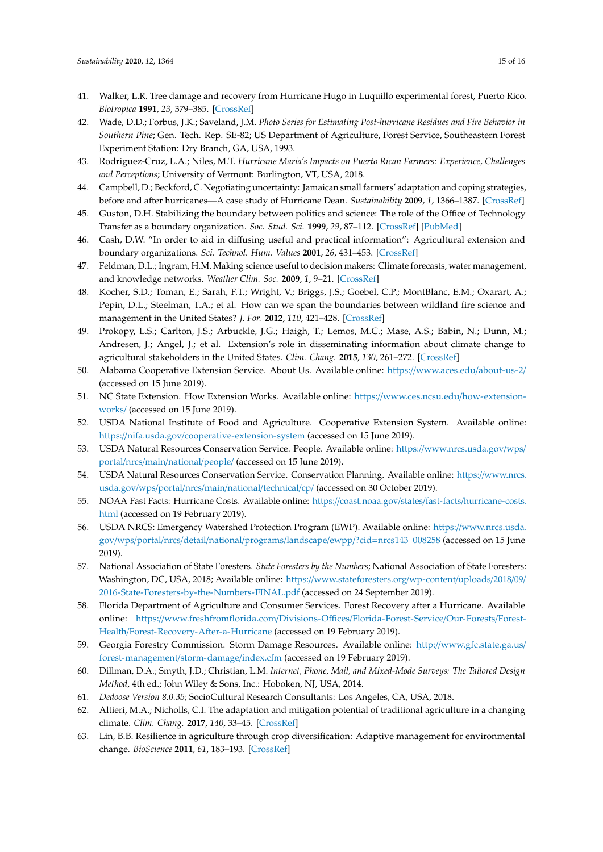- <span id="page-14-0"></span>41. Walker, L.R. Tree damage and recovery from Hurricane Hugo in Luquillo experimental forest, Puerto Rico. *Biotropica* **1991**, *23*, 379–385. [\[CrossRef\]](http://dx.doi.org/10.2307/2388255)
- <span id="page-14-1"></span>42. Wade, D.D.; Forbus, J.K.; Saveland, J.M. *Photo Series for Estimating Post-hurricane Residues and Fire Behavior in Southern Pine*; Gen. Tech. Rep. SE-82; US Department of Agriculture, Forest Service, Southeastern Forest Experiment Station: Dry Branch, GA, USA, 1993.
- <span id="page-14-2"></span>43. Rodriguez-Cruz, L.A.; Niles, M.T. *Hurricane Maria's Impacts on Puerto Rican Farmers: Experience, Challenges and Perceptions*; University of Vermont: Burlington, VT, USA, 2018.
- <span id="page-14-3"></span>44. Campbell, D.; Beckford, C. Negotiating uncertainty: Jamaican small farmers' adaptation and coping strategies, before and after hurricanes—A case study of Hurricane Dean. *Sustainability* **2009**, *1*, 1366–1387. [\[CrossRef\]](http://dx.doi.org/10.3390/su1041366)
- <span id="page-14-4"></span>45. Guston, D.H. Stabilizing the boundary between politics and science: The role of the Office of Technology Transfer as a boundary organization. *Soc. Stud. Sci.* **1999**, *29*, 87–112. [\[CrossRef\]](http://dx.doi.org/10.1177/030631299029001004) [\[PubMed\]](http://www.ncbi.nlm.nih.gov/pubmed/11623653)
- <span id="page-14-5"></span>46. Cash, D.W. "In order to aid in diffusing useful and practical information": Agricultural extension and boundary organizations. *Sci. Technol. Hum. Values* **2001**, *26*, 431–453. [\[CrossRef\]](http://dx.doi.org/10.1177/016224390102600403)
- 47. Feldman, D.L.; Ingram, H.M. Making science useful to decision makers: Climate forecasts, water management, and knowledge networks. *Weather Clim. Soc.* **2009**, *1*, 9–21. [\[CrossRef\]](http://dx.doi.org/10.1175/2009WCAS1007.1)
- 48. Kocher, S.D.; Toman, E.; Sarah, F.T.; Wright, V.; Briggs, J.S.; Goebel, C.P.; MontBlanc, E.M.; Oxarart, A.; Pepin, D.L.; Steelman, T.A.; et al. How can we span the boundaries between wildland fire science and management in the United States? *J. For.* **2012**, *110*, 421–428. [\[CrossRef\]](http://dx.doi.org/10.5849/jof.11-085)
- <span id="page-14-6"></span>49. Prokopy, L.S.; Carlton, J.S.; Arbuckle, J.G.; Haigh, T.; Lemos, M.C.; Mase, A.S.; Babin, N.; Dunn, M.; Andresen, J.; Angel, J.; et al. Extension's role in disseminating information about climate change to agricultural stakeholders in the United States. *Clim. Chang.* **2015**, *130*, 261–272. [\[CrossRef\]](http://dx.doi.org/10.1007/s10584-015-1339-9)
- <span id="page-14-7"></span>50. Alabama Cooperative Extension Service. About Us. Available online: https://[www.aces.edu](https://www.aces.edu/about-us-2/)/about-us-2/ (accessed on 15 June 2019).
- 51. NC State Extension. How Extension Works. Available online: https://[www.ces.ncsu.edu](https://www.ces.ncsu.edu/how-extension-works/)/how-extension[works](https://www.ces.ncsu.edu/how-extension-works/)/ (accessed on 15 June 2019).
- <span id="page-14-8"></span>52. USDA National Institute of Food and Agriculture. Cooperative Extension System. Available online: https://nifa.usda.gov/[cooperative-extension-system](https://nifa.usda.gov/cooperative-extension-system) (accessed on 15 June 2019).
- <span id="page-14-9"></span>53. USDA Natural Resources Conservation Service. People. Available online: https://[www.nrcs.usda.gov](https://www.nrcs.usda.gov/wps/portal/nrcs/main/national/people/)/wps/ portal/nrcs/main/[national](https://www.nrcs.usda.gov/wps/portal/nrcs/main/national/people/)/people/ (accessed on 15 June 2019).
- <span id="page-14-10"></span>54. USDA Natural Resources Conservation Service. Conservation Planning. Available online: https://[www.nrcs.](https://www.nrcs.usda.gov/wps/portal/nrcs/main/national/technical/cp/) [usda.gov](https://www.nrcs.usda.gov/wps/portal/nrcs/main/national/technical/cp/)/wps/portal/nrcs/main/national/technical/cp/ (accessed on 30 October 2019).
- <span id="page-14-11"></span>55. NOAA Fast Facts: Hurricane Costs. Available online: https://coast.noaa.gov/states/fast-facts/[hurricane-costs.](https://coast.noaa.gov/states/fast-facts/hurricane-costs.html) [html](https://coast.noaa.gov/states/fast-facts/hurricane-costs.html) (accessed on 19 February 2019).
- <span id="page-14-12"></span>56. USDA NRCS: Emergency Watershed Protection Program (EWP). Available online: https://[www.nrcs.usda.](https://www.nrcs.usda.gov/wps/portal/nrcs/detail/national/programs/landscape/ewpp/?cid=nrcs143_008258) gov/wps/portal/nrcs/detail/national/programs/landscape/ewpp/?cid=[nrcs143\\_008258](https://www.nrcs.usda.gov/wps/portal/nrcs/detail/national/programs/landscape/ewpp/?cid=nrcs143_008258) (accessed on 15 June 2019).
- <span id="page-14-13"></span>57. National Association of State Foresters. *State Foresters by the Numbers*; National Association of State Foresters: Washington, DC, USA, 2018; Available online: https://[www.stateforesters.org](https://www.stateforesters.org/wp-content/uploads/2018/09/2016-State-Foresters-by-the-Numbers-FINAL.pdf)/wp-content/uploads/2018/09/ [2016-State-Foresters-by-the-Numbers-FINAL.pdf](https://www.stateforesters.org/wp-content/uploads/2018/09/2016-State-Foresters-by-the-Numbers-FINAL.pdf) (accessed on 24 September 2019).
- <span id="page-14-14"></span>58. Florida Department of Agriculture and Consumer Services. Forest Recovery after a Hurricane. Available online: https://[www.freshfromflorida.com](https://www.freshfromflorida.com/Divisions-Offices/Florida-Forest-Service/Our-Forests/Forest-Health/Forest-Recovery-After-a-Hurricane)/Divisions-Offices/Florida-Forest-Service/Our-Forests/Forest-Health/[Forest-Recovery-After-a-Hurricane](https://www.freshfromflorida.com/Divisions-Offices/Florida-Forest-Service/Our-Forests/Forest-Health/Forest-Recovery-After-a-Hurricane) (accessed on 19 February 2019).
- <span id="page-14-15"></span>59. Georgia Forestry Commission. Storm Damage Resources. Available online: http://[www.gfc.state.ga.us](http://www.gfc.state.ga.us/forest-management/storm-damage/index.cfm)/ [forest-management](http://www.gfc.state.ga.us/forest-management/storm-damage/index.cfm)/storm-damage/index.cfm (accessed on 19 February 2019).
- <span id="page-14-16"></span>60. Dillman, D.A.; Smyth, J.D.; Christian, L.M. *Internet, Phone, Mail, and Mixed-Mode Surveys: The Tailored Design Method*, 4th ed.; John Wiley & Sons, Inc.: Hoboken, NJ, USA, 2014.
- <span id="page-14-17"></span>61. *Dedoose Version 8.0.35*; SocioCultural Research Consultants: Los Angeles, CA, USA, 2018.
- <span id="page-14-18"></span>62. Altieri, M.A.; Nicholls, C.I. The adaptation and mitigation potential of traditional agriculture in a changing climate. *Clim. Chang.* **2017**, *140*, 33–45. [\[CrossRef\]](http://dx.doi.org/10.1007/s10584-013-0909-y)
- <span id="page-14-19"></span>63. Lin, B.B. Resilience in agriculture through crop diversification: Adaptive management for environmental change. *BioScience* **2011**, *61*, 183–193. [\[CrossRef\]](http://dx.doi.org/10.1525/bio.2011.61.3.4)